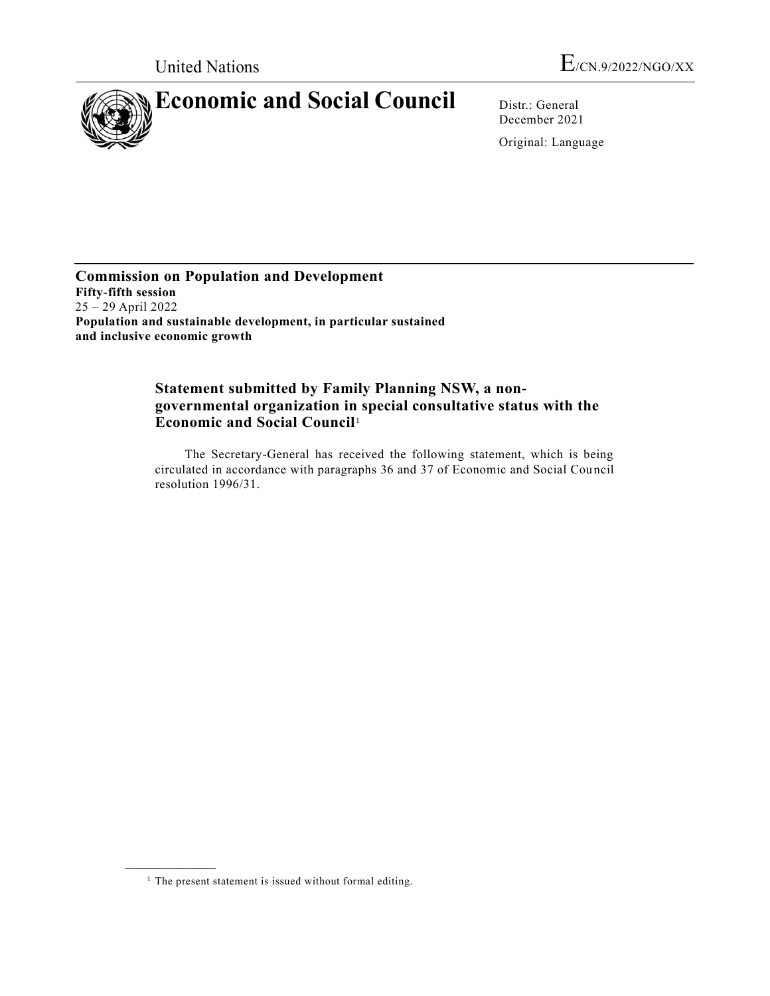

December 2021

Original: Language

**Commission on Population and Development Fifty-fifth session** 25 – 29 April 2022 **Population and sustainable development, in particular sustained and inclusive economic growth**

# **Statement submitted by Family Planning NSW, a nongovernmental organization in special consultative status with the Economic and Social Council**<sup>1</sup>

The Secretary-General has received the following statement, which is being circulated in accordance with paragraphs 36 and 37 of Economic and Social Council resolution 1996/31.

**\_\_\_\_\_\_\_\_\_\_\_\_\_\_\_\_\_\_**

 $<sup>1</sup>$  The present statement is issued without formal editing.</sup>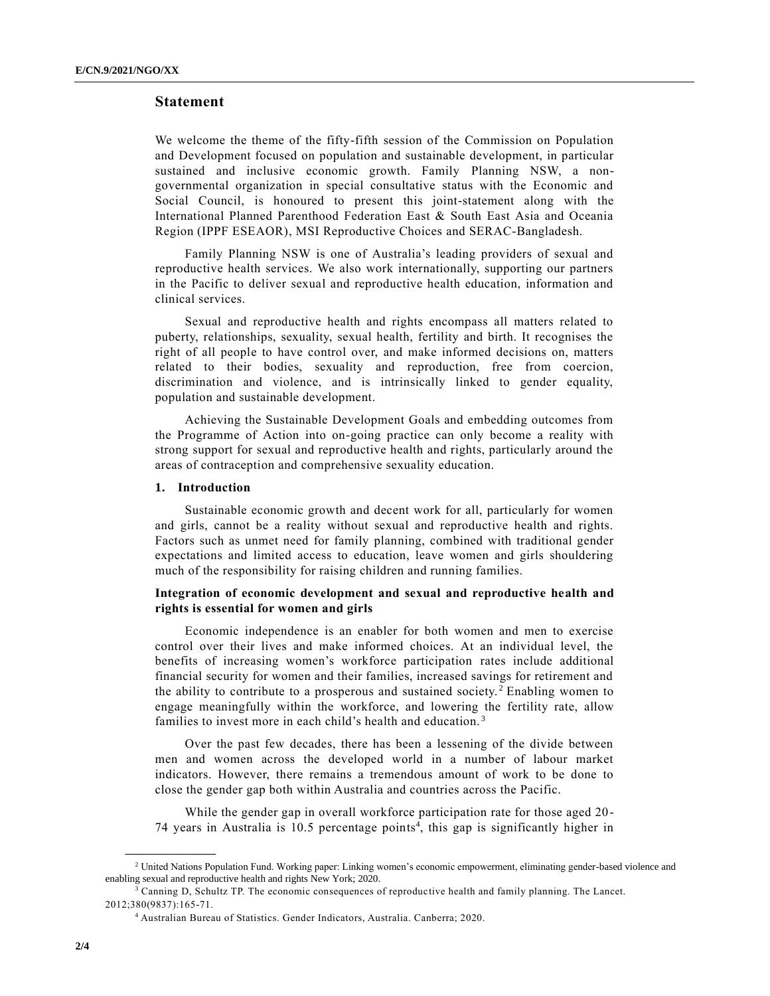## **Statement**

We welcome the theme of the fifty-fifth session of the Commission on Population and Development focused on population and sustainable development, in particular sustained and inclusive economic growth. Family Planning NSW, a nongovernmental organization in special consultative status with the Economic and Social Council, is honoured to present this joint-statement along with the International Planned Parenthood Federation East & South East Asia and Oceania Region (IPPF ESEAOR), MSI Reproductive Choices and SERAC-Bangladesh.

Family Planning NSW is one of Australia's leading providers of sexual and reproductive health services. We also work internationally, supporting our partners in the Pacific to deliver sexual and reproductive health education, information and clinical services.

Sexual and reproductive health and rights encompass all matters related to puberty, relationships, sexuality, sexual health, fertility and birth. It recognises the right of all people to have control over, and make informed decisions on, matters related to their bodies, sexuality and reproduction, free from coercion, discrimination and violence, and is intrinsically linked to gender equality, population and sustainable development.

Achieving the Sustainable Development Goals and embedding outcomes from the Programme of Action into on-going practice can only become a reality with strong support for sexual and reproductive health and rights, particularly around the areas of contraception and comprehensive sexuality education.

#### **1. Introduction**

**\_\_\_\_\_\_\_\_\_\_\_\_\_\_\_\_\_\_**

Sustainable economic growth and decent work for all, particularly for women and girls, cannot be a reality without sexual and reproductive health and rights. Factors such as unmet need for family planning, combined with traditional gender expectations and limited access to education, leave women and girls shouldering much of the responsibility for raising children and running families.

## **Integration of economic development and sexual and reproductive health and rights is essential for women and girls**

Economic independence is an enabler for both women and men to exercise control over their lives and make informed choices. At an individual level, the benefits of increasing women's workforce participation rates include additional financial security for women and their families, increased savings for retirement and the ability to contribute to a prosperous and sustained society. <sup>2</sup> Enabling women to engage meaningfully within the workforce, and lowering the fertility rate, allow families to invest more in each child's health and education.<sup>3</sup>

Over the past few decades, there has been a lessening of the divide between men and women across the developed world in a number of labour market indicators. However, there remains a tremendous amount of work to be done to close the gender gap both within Australia and countries across the Pacific.

While the gender gap in overall workforce participation rate for those aged 20-74 years in Australia is 10.5 percentage points<sup>4</sup>, this gap is significantly higher in

<sup>&</sup>lt;sup>2</sup> United Nations Population Fund. Working paper: Linking women's economic empowerment, eliminating gender-based violence and enabling sexual and reproductive health and rights New York; 2020.

<sup>&</sup>lt;sup>3</sup> Canning D, Schultz TP. The economic consequences of reproductive health and family planning. The Lancet. 2012;380(9837):165-71.

<sup>4</sup> Australian Bureau of Statistics. Gender Indicators, Australia. Canberra; 2020.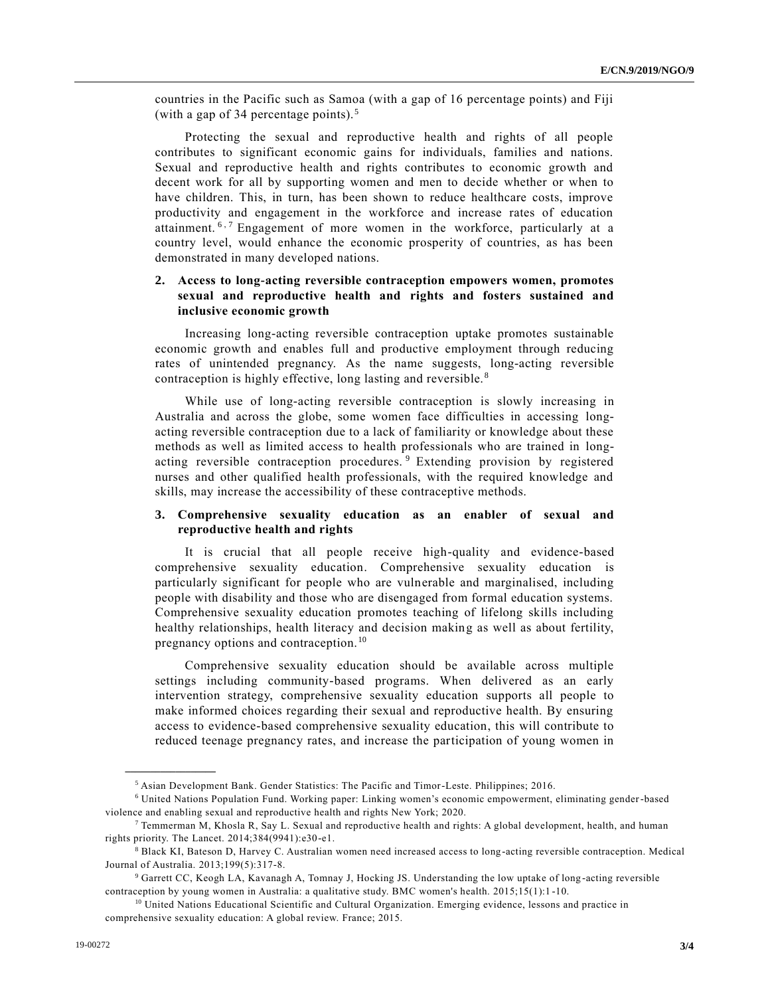countries in the Pacific such as Samoa (with a gap of 16 percentage points) and Fiji (with a gap of 34 percentage points). <sup>5</sup>

Protecting the sexual and reproductive health and rights of all people contributes to significant economic gains for individuals, families and nations. Sexual and reproductive health and rights contributes to economic growth and decent work for all by supporting women and men to decide whether or when to have children. This, in turn, has been shown to reduce healthcare costs, improve productivity and engagement in the workforce and increase rates of education attainment. <sup>6,7</sup> Engagement of more women in the workforce, particularly at a country level, would enhance the economic prosperity of countries, as has been demonstrated in many developed nations.

## **2. Access to long-acting reversible contraception empowers women, promotes sexual and reproductive health and rights and fosters sustained and inclusive economic growth**

Increasing long-acting reversible contraception uptake promotes sustainable economic growth and enables full and productive employment through reducing rates of unintended pregnancy. As the name suggests, long-acting reversible contraception is highly effective, long lasting and reversible. <sup>8</sup>

While use of long-acting reversible contraception is slowly increasing in Australia and across the globe, some women face difficulties in accessing longacting reversible contraception due to a lack of familiarity or knowledge about these methods as well as limited access to health professionals who are trained in longacting reversible contraception procedures. <sup>9</sup> Extending provision by registered nurses and other qualified health professionals, with the required knowledge and skills, may increase the accessibility of these contraceptive methods.

#### **3. Comprehensive sexuality education as an enabler of sexual and reproductive health and rights**

It is crucial that all people receive high-quality and evidence-based comprehensive sexuality education. Comprehensive sexuality education is particularly significant for people who are vulnerable and marginalised, including people with disability and those who are disengaged from formal education systems. Comprehensive sexuality education promotes teaching of lifelong skills including healthy relationships, health literacy and decision making as well as about fertility, pregnancy options and contraception.<sup>10</sup>

Comprehensive sexuality education should be available across multiple settings including community-based programs. When delivered as an early intervention strategy, comprehensive sexuality education supports all people to make informed choices regarding their sexual and reproductive health. By ensuring access to evidence-based comprehensive sexuality education, this will contribute to reduced teenage pregnancy rates, and increase the participation of young women in

**\_\_\_\_\_\_\_\_\_\_\_\_\_\_\_\_\_\_**

<sup>5</sup> Asian Development Bank. Gender Statistics: The Pacific and Timor-Leste. Philippines; 2016.

<sup>6</sup> United Nations Population Fund. Working paper: Linking women's economic empowerment, eliminating gender-based violence and enabling sexual and reproductive health and rights New York; 2020.

<sup>7</sup> Temmerman M, Khosla R, Say L. Sexual and reproductive health and rights: A global development, health, and human rights priority. The Lancet. 2014;384(9941):e30-e1.

 $8$  Black KI, Bateson D, Harvey C. Australian women need increased access to long-acting reversible contraception. Medical Journal of Australia. 2013;199(5):317-8.

<sup>9</sup> Garrett CC, Keogh LA, Kavanagh A, Tomnay J, Hocking JS. Understanding the low uptake of long -acting reversible contraception by young women in Australia: a qualitative study. BMC women's health. 2015;15(1):1 -10.

<sup>&</sup>lt;sup>10</sup> United Nations Educational Scientific and Cultural Organization. Emerging evidence, lessons and practice in comprehensive sexuality education: A global review. France; 2015.